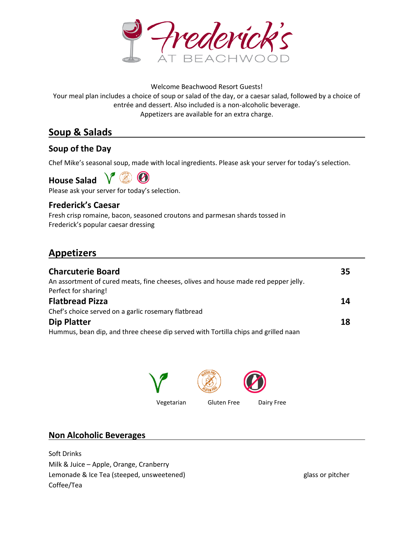

#### Welcome Beachwood Resort Guests!

Your meal plan includes a choice of soup or salad of the day, or a caesar salad, followed by a choice of entrée and dessert. Also included is a non-alcoholic beverage. entrée and dessert. Also included is a non-alcoholic beverage. Appetizers are available for an extra charge.

## Soup & Salads

#### Soup of the Day

Chef Mike's seasonal soup, made with local ingredients. Please ask your server for today's selection.

 $\boldsymbol{(\Lambda)}$  $(\circledast)$ House Salad

Please ask your server for today's selection.

#### Frederick's Caesar

Fresh crisp romaine, bacon, seasoned croutons and parmesan shards tossed in Frederick's popular caesar dressing your server for today's selection.<br>**t's Caesar**<br>romaine, bacon, seasoned croutons and parmesan shards tossed<br>popular caesar dressing

 $\overline{a}$ 

# Appetizers

| <b>Charcuterie Board</b><br>An assortment of cured meats, fine cheeses, olives and house made red pepper jelly.<br>Perfect for sharing! | 35 |
|-----------------------------------------------------------------------------------------------------------------------------------------|----|
| <b>Flatbread Pizza</b>                                                                                                                  | 14 |
| Chef's choice served on a garlic rosemary flatbread                                                                                     |    |
| <b>Dip Platter</b>                                                                                                                      | 18 |
| Hummus, bean dip, and three cheese dip served with Tortilla chips and grilled naan                                                      |    |
|                                                                                                                                         |    |
|                                                                                                                                         |    |
|                                                                                                                                         |    |
|                                                                                                                                         |    |



#### Non Alcoholic Beverages

Soft Drinks Milk & Juice – Apple, Orange, Cranberry Lemonade & Ice Tea (steeped, unsweetened) Apple, Orange, CranberryLemonade & Tea (steeped, glass or pitcher Coffee/Tea

glass or pitcher

 $\overline{a}$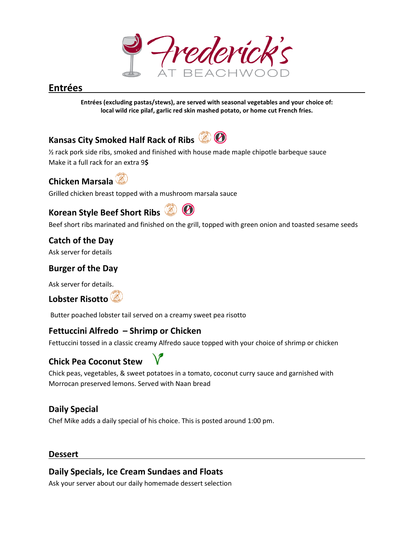## Entrées

Entrées (excluding pastas/stews), are served with seasonal vegetables and your choice of:<br>local wild rice pilaf, garlic red skin mashed potato, or home cut French fries. local wild rice pilaf, garlic red skin mashed potato, or home cut French fries.

# Kansas City Smoked Half Rack of Ribs

% rack pork side ribs, smoked and finished with house made maple chipotle barbeque sauce<br>Make it a full rack for an extra 9\$<br>**Chicken Marsala** ۞<br>Grilled chicken breast topped with a mushroom marsala sauce Make it a full rack for an extra 9\$

Chicken Marsala

Grilled chicken breast topped with a mushroom marsala sauce

# Korean Style Beef Short Ribs Beef



Beef short ribs marinated and finished on the grill, topped with green onion and toasted sesame seeds

Catch of the Day

Ask server for details

## Burger of the Day

Ask server for details.

Lobster Risotto

Butter poached lobster tail served on a creamy sweet pea risotto marinated and finished on the grill, topped<br> **Pay**<br> **Pay<br>
Jetails<br>
Sulto**<br> **Conserved on a creamy sweet pear**<br> **Pay** 

#### Fettuccini Alfredo - Shrimp or Chicken

Fettuccini tossed in a classic creamy Alfredo sauce topped with your choice of shrimp or chicken

## Chick Pea Coconut Stew

Chick peas, vegetables, & sweet potatoes in a tomato, coconut curry sauce and garnished with Morrocan preserved lemons. Served with Naan bread eamy Alfredo sauce topped with your choice of shrimp or<br> **choich to the potatoes** in a tomato, coconut curry sauce and garnished<br>
ierved with Naan bread<br>
of his choice. This is posted around 1:00 pm. **Example 18**<br> **Entrées (excluding pastas/stews), are served with seasonal vegetables and your choical wild rice pilaf, garlic red skin mashed potato, or home cut French fries.<br>
<b>City Smoked Half Rack of Ribs**  $\bigcirc$  **O**<br> **C** 

## Daily Special

Chef Mike adds a daily special of his choice. This is posted around 1:00 pm.

#### Dessert

#### Daily Specials, Ice Cream Sundaes and Floats

Ask your server about our daily homemade dessert selection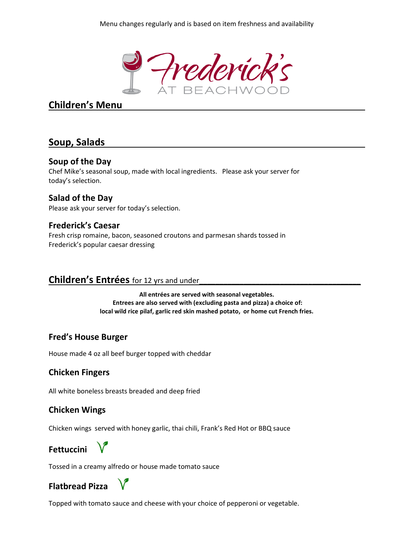

## Children's Menu

## Soup, Salads

#### Soup of the Day

Chef Mike's seasonal soup, made with local ingredients. Please ask your server for today's selection.

## Salad of the Day

Please ask your server for today's selection.

#### Frederick's Caesar

Fresh crisp romaine, bacon, seasoned croutons and parmesan shards tossed in Frederick's popular caesar dressing your server for today's selection.<br>**<'s Caesar**<br>romaine, bacon, seasoned croutons and parmesan shards tossed<br>popular caesar dressing

#### Children's Entrées for 12 yrs and under<br>
12 yrs and under  $\mathcal{L}_\text{max} = \frac{1}{2} \sum_{i=1}^n \frac{1}{2} \sum_{i=1}^n \frac{1}{2} \sum_{i=1}^n \frac{1}{2} \sum_{i=1}^n \frac{1}{2} \sum_{i=1}^n \frac{1}{2} \sum_{i=1}^n \frac{1}{2} \sum_{i=1}^n \frac{1}{2} \sum_{i=1}^n \frac{1}{2} \sum_{i=1}^n \frac{1}{2} \sum_{i=1}^n \frac{1}{2} \sum_{i=1}^n \frac{1}{2} \sum_{i=1}^n \frac{1}{2} \sum_{i=1}^n$

All entrées are served with seasonal vegetables. Entrees are also served with (excluding pasta and pizza) a choice of: local wild rice pilaf, garlic red skin mashed potato, or home cut French fries. local wild ingredients. Please ask your server for<br>some and parmesan shards tossed in<br>the fexciuding pasta and pizza) a choice of:<br>the fexciuding pasta and pizza) a choice of:<br>the fexciuding pasta and pizza) a choice of:<br>n cheddar<br>of

#### Fred's House Burger

#### Chicken Fingers

House made 4 oz all beef burger topped with cheddar<br>**Chicken Fingers**<br>All white boneless breasts breaded and deep fried All white boneless breasts breaded and deep fried

#### Chicken Wings

Chicken wings served with honey garlic, thai chili, Frank's Red Hot or BBQ sauce<br> **Fettuccini**<br>Tossed in a creamy alfredo or house made tomato sauce



Tossed in a creamy alfredo or house made t

## Flatbread Pizza

Topped with tomato sauce and cheese with your choice of pepperoni or vegetable.